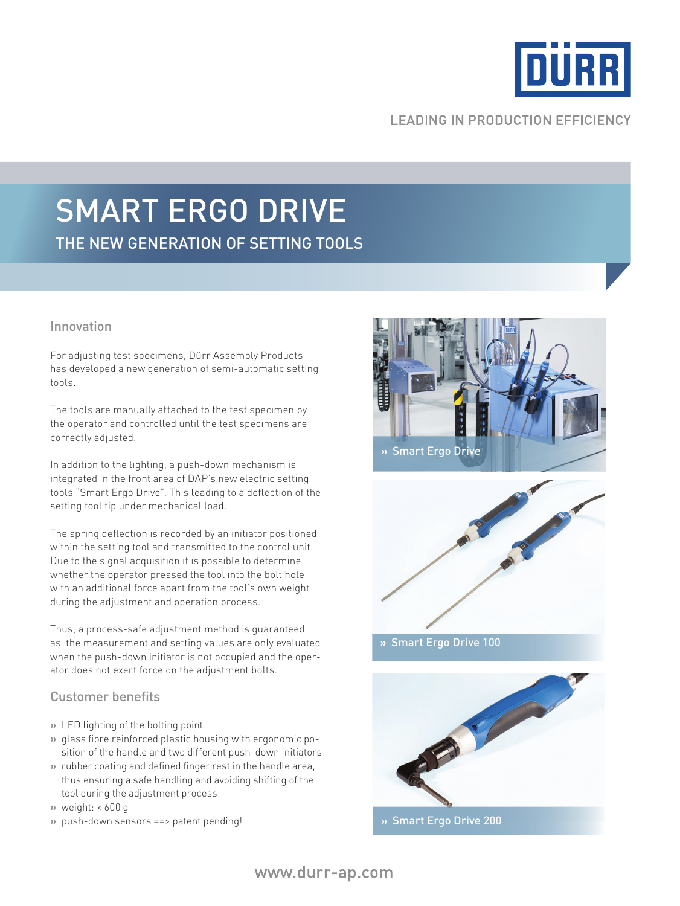

## **LEADING IN PRODUCTION EFFICIENCY**

# SMART ERGO DRIVE the new generation of setting tools

#### Innovation

For adjusting test specimens, Dürr Assembly Products has developed a new generation of semi-automatic setting tools.

The tools are manually attached to the test specimen by the operator and controlled until the test specimens are correctly adjusted.

In addition to the lighting, a push-down mechanism is integrated in the front area of DAP's new electric setting tools "Smart Ergo Drive". This leading to a deflection of the setting tool tip under mechanical load.

The spring deflection is recorded by an initiator positioned within the setting tool and transmitted to the control unit. Due to the signal acquisition it is possible to determine whether the operator pressed the tool into the bolt hole with an additional force apart from the tool's own weight during the adjustment and operation process.

Thus, a process-safe adjustment method is guaranteed as the measurement and setting values are only evaluated when the push-down initiator is not occupied and the operator does not exert force on the adjustment bolts.

### Customer benefits

- **»** LED lighting of the bolting point
- **»** glass fibre reinforced plastic housing with ergonomic position of the handle and two different push-down initiators
- **»** rubber coating and defined finger rest in the handle area, thus ensuring a safe handling and avoiding shifting of the tool during the adjustment process
- **»** weight: < 600 g
- **»** push-down sensors ==> patent pending!





**»** Smart Ergo Drive 100



**»** Smart Ergo Drive 200